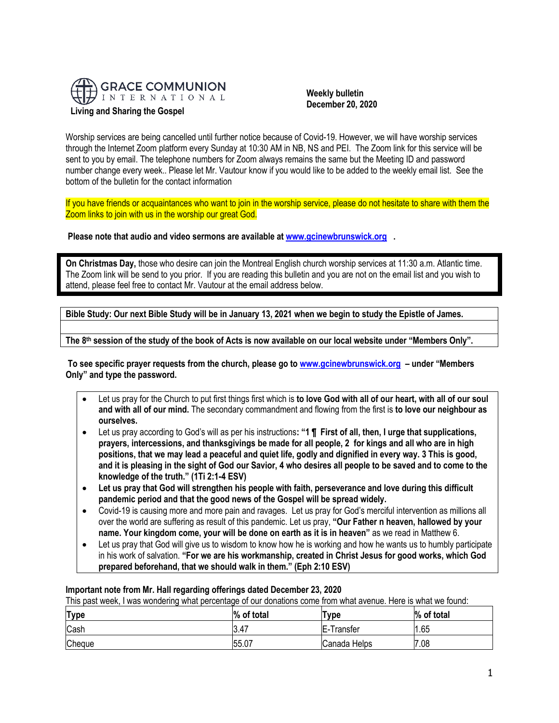

#### **Weekly bulletin December 20, 2020**

Worship services are being cancelled until further notice because of Covid-19. However, we will have worship services through the Internet Zoom platform every Sunday at 10:30 AM in NB, NS and PEI. The Zoom link for this service will be sent to you by email. The telephone numbers for Zoom always remains the same but the Meeting ID and password number change every week.. Please let Mr. Vautour know if you would like to be added to the weekly email list. See the bottom of the bulletin for the contact information

If you have friends or acquaintances who want to join in the worship service, please do not hesitate to share with them the Zoom links to join with us in the worship our great God.

**Please note that audio and video sermons are available at [www.gcinewbrunswick.org](http://www.gcinewbrunswick.org/) .** 

**On Christmas Day,** those who desire can join the Montreal English church worship services at 11:30 a.m. Atlantic time. The Zoom link will be send to you prior. If you are reading this bulletin and you are not on the email list and you wish to attend, please feel free to contact Mr. Vautour at the email address below.

**Bible Study: Our next Bible Study will be in January 13, 2021 when we begin to study the Epistle of James.**

**The 8 th session of the study of the book of Acts is now available on our local website under "Members Only".**

**To see specific prayer requests from the church, please go t[o www.gcinewbrunswick.org](http://www.gcinewbrunswick.org/) – under "Members Only" and type the password.**

- Let us pray for the Church to put first things first which is **to love God with all of our heart, with all of our soul and with all of our mind.** The secondary commandment and flowing from the first is **to love our neighbour as ourselves.**
- Let us pray according to God's will as per his instructions**: "1 ¶ First of all, then, I urge that supplications, prayers, intercessions, and thanksgivings be made for all people, 2 for kings and all who are in high positions, that we may lead a peaceful and quiet life, godly and dignified in every way. 3 This is good, and it is pleasing in the sight of God our Savior, 4 who desires all people to be saved and to come to the knowledge of the truth." (1Ti 2:1-4 ESV)**
- **Let us pray that God will strengthen his people with faith, perseverance and love during this difficult pandemic period and that the good news of the Gospel will be spread widely.**
- Covid-19 is causing more and more pain and ravages. Let us pray for God's merciful intervention as millions all over the world are suffering as result of this pandemic. Let us pray, **"Our Father n heaven, hallowed by your name. Your kingdom come, your will be done on earth as it is in heaven"** as we read in Matthew 6.
- Let us pray that God will give us to wisdom to know how he is working and how he wants us to humbly participate in his work of salvation. **"For we are his workmanship, created in Christ Jesus for good works, which God prepared beforehand, that we should walk in them." (Eph 2:10 ESV)**

# **Important note from Mr. Hall regarding offerings dated December 23, 2020**

This past week, I was wondering what percentage of our donations come from what avenue. Here is what we found:

| <b>Type</b> | % of total | $T$ <sub>ype</sub> | % of total |
|-------------|------------|--------------------|------------|
| Cash        | 3.47       | E-Transfer         | 1.65       |
| Cheque      | 55.07      | Canada Helps       | 7.08       |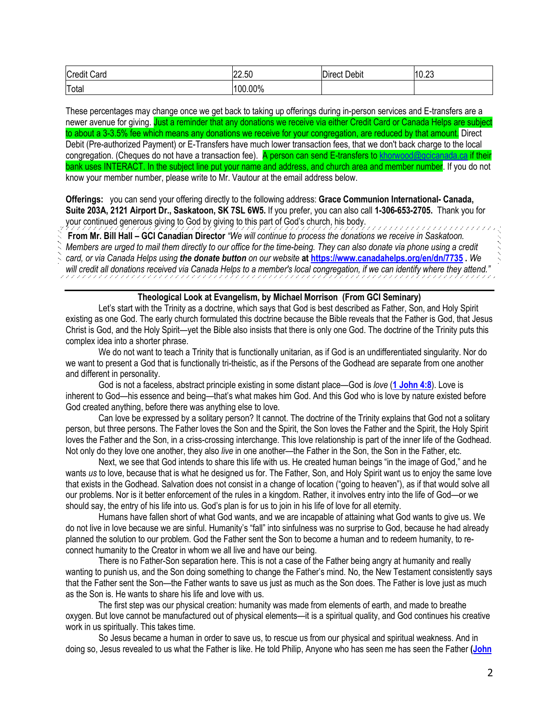| Credit<br>$\overline{\phantom{0}}$<br>Card | 22.50<br>$\sqrt{2}$ | -<br>.<br>.n<br>Debit<br>Direct | 10.23 |
|--------------------------------------------|---------------------|---------------------------------|-------|
| Total                                      | 00.00%              |                                 |       |

These percentages may change once we get back to taking up offerings during in-person services and E-transfers are a newer avenue for giving. Just a reminder that any donations we receive via either Credit Card or Canada Helps are subject to about a 3-3.5% fee which means any donations we receive for your congregation, are reduced by that amount. Direct Debit (Pre-authorized Payment) or E-Transfers have much lower transaction fees, that we don't back charge to the local congregation. (Cheques do not have a transaction fee). A person can send E-transfers t[o khorwood@gcicanada.ca](mailto:khorwood@gcicanada.ca) if their bank uses INTERACT. In the subject line put your name and address, and church area and member number. If you do not know your member number, please write to Mr. Vautour at the email address below.

**Offerings:** you can send your offering directly to the following address: **Grace Communion International- Canada, Suite 203A, 2121 Airport Dr., Saskatoon, SK 7SL 6W5.** If you prefer, you can also call **1-306-653-2705.** Thank you for your continued generous giving to God by giving to this part of God's church, his body.

**From Mr. Bill Hall – GCI Canadian Director** *"We will continue to process the donations we receive in Saskatoon.* 

*Members are urged to mail them directly to our office for the time-being. They can also donate via phone using a credit* 

*card, or via Canada Helps using the donate button on our website* **a[t https://www.canadahelps.org/en/dn/7735](https://www.canadahelps.org/en/dn/7735) .** *We will credit all donations received via Canada Helps to a member's local congregation, if we can identify where they attend."*

### **Theological Look at Evangelism, by Michael Morrison (From GCI Seminary)**

Let's start with the Trinity as a doctrine, which says that God is best described as Father, Son, and Holy Spirit existing as one God. The early church formulated this doctrine because the Bible reveals that the Father is God, that Jesus Christ is God, and the Holy Spirit—yet the Bible also insists that there is only one God. The doctrine of the Trinity puts this complex idea into a shorter phrase.

We do not want to teach a Trinity that is functionally unitarian, as if God is an undifferentiated singularity. Nor do we want to present a God that is functionally tri-theistic, as if the Persons of the Godhead are separate from one another and different in personality.

God is not a faceless, abstract principle existing in some distant place—God is *love* (**[1 John 4:8](https://biblia.com/bible/niv/1%20John%204.8)**). Love is inherent to God—his essence and being—that's what makes him God. And this God who is love by nature existed before God created anything, before there was anything else to love.

Can love be expressed by a solitary person? It cannot. The doctrine of the Trinity explains that God not a solitary person, but three persons. The Father loves the Son and the Spirit, the Son loves the Father and the Spirit, the Holy Spirit loves the Father and the Son, in a criss-crossing interchange. This love relationship is part of the inner life of the Godhead. Not only do they love one another, they also *live* in one another—the Father in the Son, the Son in the Father, etc.

Next, we see that God intends to share this life with us. He created human beings "in the image of God," and he wants *us* to love, because that is what he designed us for. The Father, Son, and Holy Spirit want us to enjoy the same love that exists in the Godhead. Salvation does not consist in a change of location ("going to heaven"), as if that would solve all our problems. Nor is it better enforcement of the rules in a kingdom. Rather, it involves entry into the life of God—or we should say, the entry of his life into us. God's plan is for us to join in his life of love for all eternity.

Humans have fallen short of what God wants, and we are incapable of attaining what God wants to give us. We do not live in love because we are sinful. Humanity's "fall" into sinfulness was no surprise to God, because he had already planned the solution to our problem. God the Father sent the Son to become a human and to redeem humanity, to reconnect humanity to the Creator in whom we all live and have our being.

There is no Father-Son separation here. This is not a case of the Father being angry at humanity and really wanting to punish us, and the Son doing something to change the Father's mind. No, the New Testament consistently says that the Father sent the Son—the Father wants to save us just as much as the Son does. The Father is love just as much as the Son is. He wants to share his life and love with us.

The first step was our physical creation: humanity was made from elements of earth, and made to breathe oxygen. But love cannot be manufactured out of physical elements—it is a spiritual quality, and God continues his creative work in us spiritually. This takes time.

So Jesus became a human in order to save us, to rescue us from our physical and spiritual weakness. And in doing so, Jesus revealed to us what the Father is like. He told Philip, Anyone who has seen me has seen the Father **[\(John](https://biblia.com/bible/niv/John%2014.9)**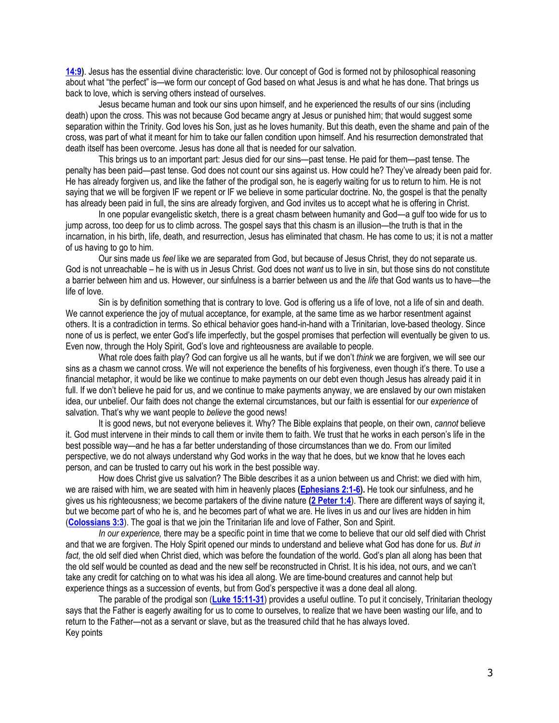**[14:9\)](https://biblia.com/bible/niv/John%2014.9)**. Jesus has the essential divine characteristic: love. Our concept of God is formed not by philosophical reasoning about what "the perfect" is—we form our concept of God based on what Jesus is and what he has done. That brings us back to love, which is serving others instead of ourselves.

Jesus became human and took our sins upon himself, and he experienced the results of our sins (including death) upon the cross. This was not because God became angry at Jesus or punished him; that would suggest some separation within the Trinity. God loves his Son, just as he loves humanity. But this death, even the shame and pain of the cross, was part of what it meant for him to take our fallen condition upon himself. And his resurrection demonstrated that death itself has been overcome. Jesus has done all that is needed for our salvation.

This brings us to an important part: Jesus died for our sins—past tense. He paid for them—past tense. The penalty has been paid—past tense. God does not count our sins against us. How could he? They've already been paid for. He has already forgiven us, and like the father of the prodigal son, he is eagerly waiting for us to return to him. He is not saying that we will be forgiven IF we repent or IF we believe in some particular doctrine. No, the gospel is that the penalty has already been paid in full, the sins are already forgiven, and God invites us to accept what he is offering in Christ.

In one popular evangelistic sketch, there is a great chasm between humanity and God—a gulf too wide for us to jump across, too deep for us to climb across. The gospel says that this chasm is an illusion—the truth is that in the incarnation, in his birth, life, death, and resurrection, Jesus has eliminated that chasm. He has come to us; it is not a matter of us having to go to him.

Our sins made us *feel* like we are separated from God, but because of Jesus Christ, they do not separate us. God is not unreachable – he is with us in Jesus Christ. God does not *want* us to live in sin, but those sins do not constitute a barrier between him and us. However, our sinfulness is a barrier between us and the *life* that God wants us to have—the life of love.

Sin is by definition something that is contrary to love. God is offering us a life of love, not a life of sin and death. We cannot experience the joy of mutual acceptance, for example, at the same time as we harbor resentment against others. It is a contradiction in terms. So ethical behavior goes hand-in-hand with a Trinitarian, love-based theology. Since none of us is perfect, we enter God's life imperfectly, but the gospel promises that perfection will eventually be given to us. Even now, through the Holy Spirit, God's love and righteousness are available to people.

What role does faith play? God can forgive us all he wants, but if we don't *think* we are forgiven, we will see our sins as a chasm we cannot cross. We will not experience the benefits of his forgiveness, even though it's there. To use a financial metaphor, it would be like we continue to make payments on our debt even though Jesus has already paid it in full. If we don't believe he paid for us, and we continue to make payments anyway, we are enslaved by our own mistaken idea, our unbelief. Our faith does not change the external circumstances, but our faith is essential for our *experience* of salvation. That's why we want people to *believe* the good news!

It is good news, but not everyone believes it. Why? The Bible explains that people, on their own, *cannot* believe it. God must intervene in their minds to call them or invite them to faith. We trust that he works in each person's life in the best possible way—and he has a far better understanding of those circumstances than we do. From our limited perspective, we do not always understand why God works in the way that he does, but we know that he loves each person, and can be trusted to carry out his work in the best possible way.

How does Christ give us salvation? The Bible describes it as a union between us and Christ: we died with him, we are raised with him, we are seated with him in heavenly places **[\(Ephesians 2:1-6\)](https://biblia.com/bible/niv/Eph%202.1-6).** He took our sinfulness, and he gives us his righteousness; we become partakers of the divine nature **[\(2 Peter 1:4](https://biblia.com/bible/niv/2%20Pet%201.4)**). There are different ways of saying it, but we become part of who he is, and he becomes part of what we are. He lives in us and our lives are hidden in him (**[Colossians 3:3](https://biblia.com/bible/niv/Col%203.3)**). The goal is that we join the Trinitarian life and love of Father, Son and Spirit.

*In our experience,* there may be a specific point in time that we come to believe that our old self died with Christ and that we are forgiven. The Holy Spirit opened our minds to understand and believe what God has done for us. *But in fact,* the old self died when Christ died, which was before the foundation of the world. God's plan all along has been that the old self would be counted as dead and the new self be reconstructed in Christ. It is his idea, not ours, and we can't take any credit for catching on to what was his idea all along. We are time-bound creatures and cannot help but experience things as a succession of events, but from God's perspective it was a done deal all along.

The parable of the prodigal son (**[Luke 15:11-31](https://biblia.com/bible/niv/Luke%2015.11-31)**) provides a useful outline. To put it concisely, Trinitarian theology says that the Father is eagerly awaiting for us to come to ourselves, to realize that we have been wasting our life, and to return to the Father—not as a servant or slave, but as the treasured child that he has always loved. Key points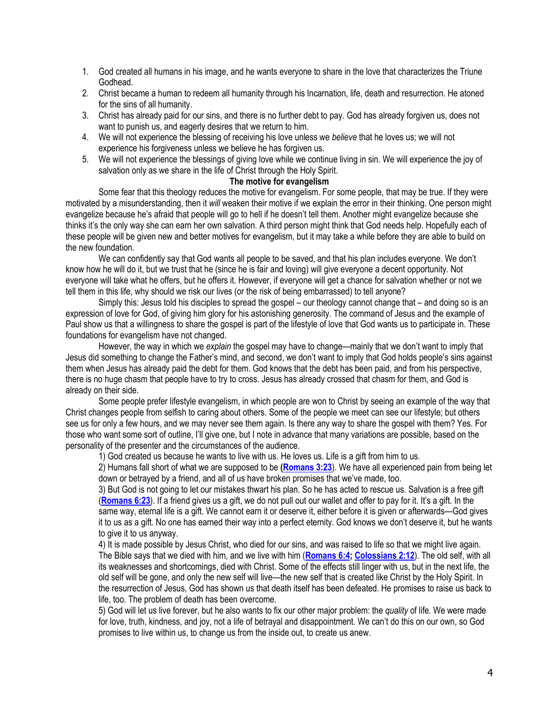- 1. God created all humans in his image, and he wants everyone to share in the love that characterizes the Triune Godhead.
- 2. Christ became a human to redeem all humanity through his Incarnation, life, death and resurrection. He atoned for the sins of all humanity.
- 3. Christ has already paid for our sins, and there is no further debt to pay. God has already forgiven us, does not want to punish us, and eagerly desires that we return to him.
- 4. We will not experience the blessing of receiving his love unless we *believe* that he loves us; we will not experience his forgiveness unless we believe he has forgiven us.
- 5. We will not experience the blessings of giving love while we continue living in sin. We will experience the joy of salvation only as we share in the life of Christ through the Holy Spirit.

## **The motive for evangelism**

Some fear that this theology reduces the motive for evangelism. For some people, that may be true. If they were motivated by a misunderstanding, then it *will* weaken their motive if we explain the error in their thinking. One person might evangelize because he's afraid that people will go to hell if he doesn't tell them. Another might evangelize because she thinks it's the only way she can earn her own salvation. A third person might think that God needs help. Hopefully each of these people will be given new and better motives for evangelism, but it may take a while before they are able to build on the new foundation.

We can confidently say that God wants all people to be saved, and that his plan includes everyone. We don't know how he will do it, but we trust that he (since he is fair and loving) will give everyone a decent opportunity. Not everyone will take what he offers, but he offers it. However, if everyone will get a chance for salvation whether or not we tell them in this life, why should we risk our lives (or the risk of being embarrassed) to tell anyone?

Simply this: Jesus told his disciples to spread the gospel – our theology cannot change that – and doing so is an expression of love for God, of giving him glory for his astonishing generosity. The command of Jesus and the example of Paul show us that a willingness to share the gospel is part of the lifestyle of love that God wants us to participate in. These foundations for evangelism have not changed.

However, the way in which we *explain* the gospel may have to change—mainly that we don't want to imply that Jesus did something to change the Father's mind, and second, we don't want to imply that God holds people's sins against them when Jesus has already paid the debt for them. God knows that the debt has been paid, and from his perspective, there is no huge chasm that people have to try to cross. Jesus has already crossed that chasm for them, and God is already on their side.

Some people prefer lifestyle evangelism, in which people are won to Christ by seeing an example of the way that Christ changes people from selfish to caring about others. Some of the people we meet can see our lifestyle; but others see us for only a few hours, and we may never see them again. Is there any way to share the gospel with them? Yes. For those who want some sort of outline, I'll give one, but I note in advance that many variations are possible, based on the personality of the presenter and the circumstances of the audience.

1) God created us because he wants to live with us. He loves us. Life is a gift from him to us.

2) Humans fall short of what we are supposed to be **[\(Romans 3:23](https://biblia.com/bible/niv/Rom%203.23)**). We have all experienced pain from being let down or betrayed by a friend, and all of us have broken promises that we've made, too.

3) But God is not going to let our mistakes thwart his plan. So he has acted to rescue us. Salvation is a free gift (**[Romans 6:23](https://biblia.com/bible/niv/Rom%206.23)**). If a friend gives us a gift, we do not pull out our wallet and offer to pay for it. It's a gift. In the same way, eternal life is a gift. We cannot earn it or deserve it, either before it is given or afterwards—God gives it to us as a gift. No one has earned their way into a perfect eternity. God knows we don't deserve it, but he wants to give it to us anyway.

4) It is made possible by Jesus Christ, who died for our sins, and was raised to life so that we might live again. The Bible says that we died with him, and we live with him (**[Romans 6:4;](https://biblia.com/bible/niv/Rom%206.4) [Colossians 2:12](https://biblia.com/bible/niv/Col%202.12)**). The old self, with all its weaknesses and shortcomings, died with Christ. Some of the effects still linger with us, but in the next life, the old self will be gone, and only the new self will live—the new self that is created like Christ by the Holy Spirit. In the resurrection of Jesus, God has shown us that death itself has been defeated. He promises to raise us back to life, too. The problem of death has been overcome.

5) God will let us live forever, but he also wants to fix our other major problem: the *quality* of life. We were made for love, truth, kindness, and joy, not a life of betrayal and disappointment. We can't do this on our own, so God promises to live within us, to change us from the inside out, to create us anew.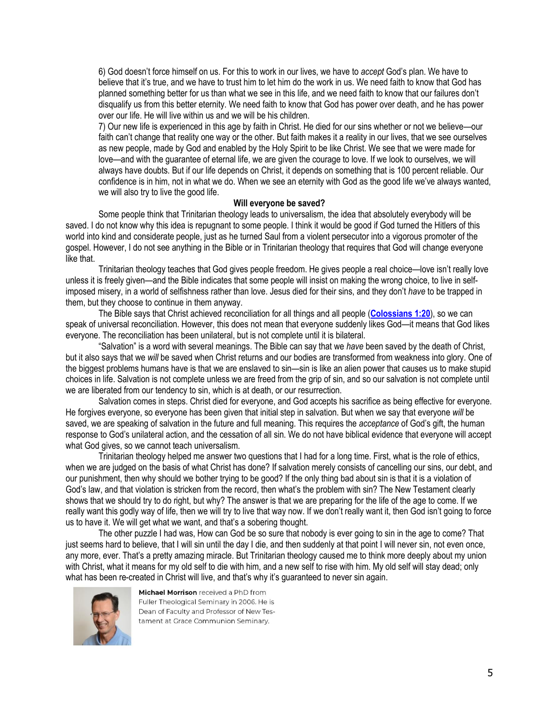6) God doesn't force himself on us. For this to work in our lives, we have to *accept* God's plan. We have to believe that it's true, and we have to trust him to let him do the work in us. We need faith to know that God has planned something better for us than what we see in this life, and we need faith to know that our failures don't disqualify us from this better eternity. We need faith to know that God has power over death, and he has power over our life. He will live within us and we will be his children.

7) Our new life is experienced in this age by faith in Christ. He died for our sins whether or not we believe—our faith can't change that reality one way or the other. But faith makes it a reality in our lives, that we see ourselves as new people, made by God and enabled by the Holy Spirit to be like Christ. We see that we were made for love—and with the guarantee of eternal life, we are given the courage to love. If we look to ourselves, we will always have doubts. But if our life depends on Christ, it depends on something that is 100 percent reliable. Our confidence is in him, not in what we do. When we see an eternity with God as the good life we've always wanted, we will also try to live the good life.

#### **Will everyone be saved?**

Some people think that Trinitarian theology leads to universalism, the idea that absolutely everybody will be saved. I do not know why this idea is repugnant to some people. I think it would be good if God turned the Hitlers of this world into kind and considerate people, just as he turned Saul from a violent persecutor into a vigorous promoter of the gospel. However, I do not see anything in the Bible or in Trinitarian theology that requires that God will change everyone like that.

Trinitarian theology teaches that God gives people freedom. He gives people a real choice—love isn't really love unless it is freely given—and the Bible indicates that some people will insist on making the wrong choice, to live in selfimposed misery, in a world of selfishness rather than love. Jesus died for their sins, and they don't *have* to be trapped in them, but they choose to continue in them anyway.

The Bible says that Christ achieved reconciliation for all things and all people (**[Colossians 1:20](https://biblia.com/bible/niv/Col%201.20)**), so we can speak of universal reconciliation. However, this does not mean that everyone suddenly likes God—it means that God likes everyone. The reconciliation has been unilateral, but is not complete until it is bilateral.

"Salvation" is a word with several meanings. The Bible can say that we *have* been saved by the death of Christ, but it also says that we *will* be saved when Christ returns and our bodies are transformed from weakness into glory. One of the biggest problems humans have is that we are enslaved to sin—sin is like an alien power that causes us to make stupid choices in life. Salvation is not complete unless we are freed from the grip of sin, and so our salvation is not complete until we are liberated from our tendency to sin, which is at death, or our resurrection.

Salvation comes in steps. Christ died for everyone, and God accepts his sacrifice as being effective for everyone. He forgives everyone, so everyone has been given that initial step in salvation. But when we say that everyone *will* be saved, we are speaking of salvation in the future and full meaning. This requires the *acceptance* of God's gift, the human response to God's unilateral action, and the cessation of all sin. We do not have biblical evidence that everyone will accept what God gives, so we cannot teach universalism.

Trinitarian theology helped me answer two questions that I had for a long time. First, what is the role of ethics, when we are judged on the basis of what Christ has done? If salvation merely consists of cancelling our sins, our debt, and our punishment, then why should we bother trying to be good? If the only thing bad about sin is that it is a violation of God's law, and that violation is stricken from the record, then what's the problem with sin? The New Testament clearly shows that we should try to do right, but why? The answer is that we are preparing for the life of the age to come. If we really want this godly way of life, then we will try to live that way now. If we don't really want it, then God isn't going to force us to have it. We will get what we want, and that's a sobering thought.

The other puzzle I had was, How can God be so sure that nobody is ever going to sin in the age to come? That just seems hard to believe, that I will sin until the day I die, and then suddenly at that point I will never sin, not even once, any more, ever. That's a pretty amazing miracle. But Trinitarian theology caused me to think more deeply about my union with Christ, what it means for my old self to die with him, and a new self to rise with him. My old self will stay dead; only what has been re-created in Christ will live, and that's why it's guaranteed to never sin again.



Michael Morrison received a PhD from Fuller Theological Seminary in 2006. He is Dean of Faculty and Professor of New Testament at Grace Communion Seminary.